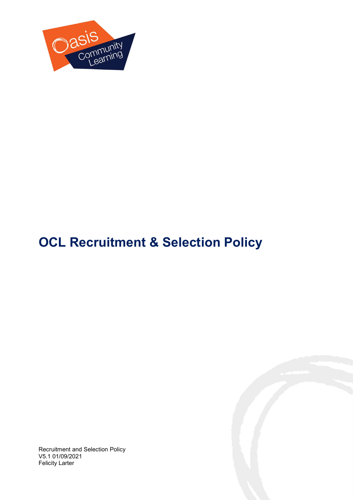

# OCL Recruitment & Selection Policy

Recruitment and Selection Policy V5.1 01/09/2021 Felicity Larter

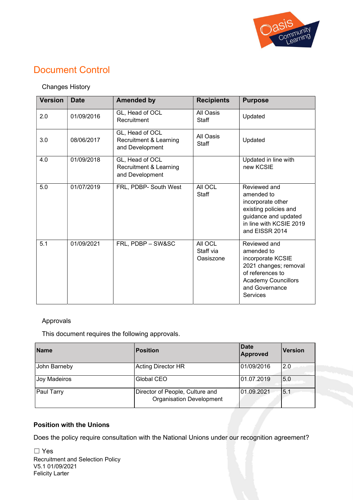

# Document Control

#### Changes History

| <b>Version</b> | <b>Date</b> | <b>Amended by</b>                                            | <b>Recipients</b>                 | <b>Purpose</b>                                                                                                                                                  |
|----------------|-------------|--------------------------------------------------------------|-----------------------------------|-----------------------------------------------------------------------------------------------------------------------------------------------------------------|
| 2.0            | 01/09/2016  | GL, Head of OCL<br>Recruitment                               | All Oasis<br><b>Staff</b>         | Updated                                                                                                                                                         |
| 3.0            | 08/06/2017  | GL, Head of OCL<br>Recruitment & Learning<br>and Development | All Oasis<br><b>Staff</b>         | Updated                                                                                                                                                         |
| 4.0            | 01/09/2018  | GL, Head of OCL<br>Recruitment & Learning<br>and Development |                                   | Updated in line with<br>new KCSIE                                                                                                                               |
| 5.0            | 01/07/2019  | FRL, PDBP- South West                                        | All OCL<br><b>Staff</b>           | Reviewed and<br>amended to<br>incorporate other<br>existing policies and<br>guidance and updated<br>in line with KCSIE 2019<br>and EISSR 2014                   |
| 5.1            | 01/09/2021  | FRL, PDBP - SW&SC                                            | All OCL<br>Staff via<br>Oasiszone | Reviewed and<br>amended to<br>incorporate KCSIE<br>2021 changes; removal<br>of references to<br><b>Academy Councillors</b><br>and Governance<br><b>Services</b> |

#### Approvals

This document requires the following approvals.

| <b>Name</b>       | <b>Position</b>                                                    | Date<br>Approved | <b>Version</b> |
|-------------------|--------------------------------------------------------------------|------------------|----------------|
| John Barneby      | <b>Acting Director HR</b>                                          | 101/09/2016      | 2.0            |
| Joy Madeiros      | Global CEO                                                         | 01.07.2019       | 5.0            |
| <b>Paul Tarry</b> | Director of People, Culture and<br><b>Organisation Development</b> | 01.09.2021       | 5.1            |

#### Position with the Unions

Does the policy require consultation with the National Unions under our recognition agreement?

Recruitment and Selection Policy V5.1 01/09/2021 Felicity Larter ☐ Yes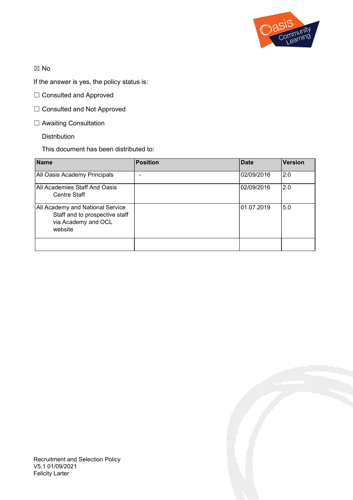

☒ No

- If the answer is yes, the policy status is:
- □ Consulted and Approved
- ☐ Consulted and Not Approved
- □ Awaiting Consultation

Distribution

This document has been distributed to:

| <b>Name</b>                                                                                          | <b>Position</b> | <b>Date</b> | <b>Version</b> |
|------------------------------------------------------------------------------------------------------|-----------------|-------------|----------------|
| All Oasis Academy Principals                                                                         |                 | 02/09/2016  | 2.0            |
| All Academies Staff And Oasis<br>Centre Staff                                                        |                 | 02/09/2016  | 2.0            |
| All Academy and National Service<br>Staff and to prospective staff<br>via Academy and OCL<br>website |                 | 01.07.2019  | 5.0            |
|                                                                                                      |                 |             |                |

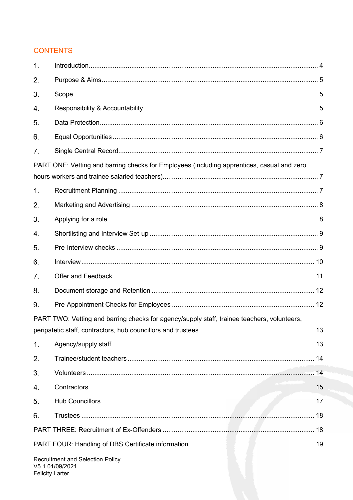# **CONTENTS**

| 1.                                                                                         |                                                                                             |  |  |
|--------------------------------------------------------------------------------------------|---------------------------------------------------------------------------------------------|--|--|
| 2.                                                                                         |                                                                                             |  |  |
| 3.                                                                                         |                                                                                             |  |  |
| 4.                                                                                         |                                                                                             |  |  |
| 5.                                                                                         |                                                                                             |  |  |
| 6.                                                                                         |                                                                                             |  |  |
| 7.                                                                                         |                                                                                             |  |  |
| PART ONE: Vetting and barring checks for Employees (including apprentices, casual and zero |                                                                                             |  |  |
| 1.                                                                                         |                                                                                             |  |  |
| 2.                                                                                         |                                                                                             |  |  |
| 3.                                                                                         |                                                                                             |  |  |
| 4.                                                                                         |                                                                                             |  |  |
| 5.                                                                                         |                                                                                             |  |  |
| 6.                                                                                         |                                                                                             |  |  |
| 7.                                                                                         |                                                                                             |  |  |
| 8.                                                                                         |                                                                                             |  |  |
| 9.                                                                                         |                                                                                             |  |  |
|                                                                                            | PART TWO: Vetting and barring checks for agency/supply staff, trainee teachers, volunteers, |  |  |
|                                                                                            |                                                                                             |  |  |
| 1.                                                                                         |                                                                                             |  |  |
| 2.                                                                                         |                                                                                             |  |  |
| 3.                                                                                         |                                                                                             |  |  |
| 4.                                                                                         |                                                                                             |  |  |
| 5.                                                                                         |                                                                                             |  |  |
| 6.                                                                                         |                                                                                             |  |  |
|                                                                                            |                                                                                             |  |  |
|                                                                                            |                                                                                             |  |  |
|                                                                                            | <b>Recruitment and Selection Policy</b><br>V5.1 01/09/2021                                  |  |  |

Felicity Larter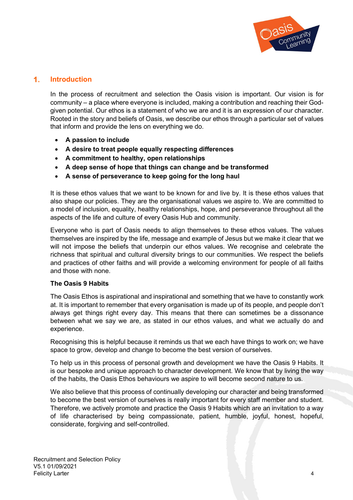

### 1. Introduction

In the process of recruitment and selection the Oasis vision is important. Our vision is for community – a place where everyone is included, making a contribution and reaching their Godgiven potential. Our ethos is a statement of who we are and it is an expression of our character. Rooted in the story and beliefs of Oasis, we describe our ethos through a particular set of values that inform and provide the lens on everything we do.

- A passion to include
- A desire to treat people equally respecting differences
- A commitment to healthy, open relationships
- A deep sense of hope that things can change and be transformed
- A sense of perseverance to keep going for the long haul

It is these ethos values that we want to be known for and live by. It is these ethos values that also shape our policies. They are the organisational values we aspire to. We are committed to a model of inclusion, equality, healthy relationships, hope, and perseverance throughout all the aspects of the life and culture of every Oasis Hub and community.

Everyone who is part of Oasis needs to align themselves to these ethos values. The values themselves are inspired by the life, message and example of Jesus but we make it clear that we will not impose the beliefs that underpin our ethos values. We recognise and celebrate the richness that spiritual and cultural diversity brings to our communities. We respect the beliefs and practices of other faiths and will provide a welcoming environment for people of all faiths and those with none.

#### The Oasis 9 Habits

The Oasis Ethos is aspirational and inspirational and something that we have to constantly work at. It is important to remember that every organisation is made up of its people, and people don't always get things right every day. This means that there can sometimes be a dissonance between what we say we are, as stated in our ethos values, and what we actually do and experience.

Recognising this is helpful because it reminds us that we each have things to work on; we have space to grow, develop and change to become the best version of ourselves.

To help us in this process of personal growth and development we have the Oasis 9 Habits. It is our bespoke and unique approach to character development. We know that by living the way of the habits, the Oasis Ethos behaviours we aspire to will become second nature to us.

We also believe that this process of continually developing our character and being transformed to become the best version of ourselves is really important for every staff member and student. Therefore, we actively promote and practice the Oasis 9 Habits which are an invitation to a way of life characterised by being compassionate, patient, humble, joyful, honest, hopeful, considerate, forgiving and self-controlled.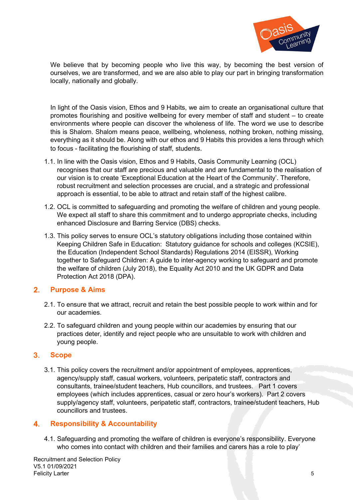

We believe that by becoming people who live this way, by becoming the best version of ourselves, we are transformed, and we are also able to play our part in bringing transformation locally, nationally and globally.

In light of the Oasis vision, Ethos and 9 Habits, we aim to create an organisational culture that promotes flourishing and positive wellbeing for every member of staff and student – to create environments where people can discover the wholeness of life. The word we use to describe this is Shalom. Shalom means peace, wellbeing, wholeness, nothing broken, nothing missing, everything as it should be. Along with our ethos and 9 Habits this provides a lens through which to focus - facilitating the flourishing of staff, students.

- 1.1. In line with the Oasis vision, Ethos and 9 Habits, Oasis Community Learning (OCL) recognises that our staff are precious and valuable and are fundamental to the realisation of our vision is to create 'Exceptional Education at the Heart of the Community'. Therefore, robust recruitment and selection processes are crucial, and a strategic and professional approach is essential, to be able to attract and retain staff of the highest calibre.
- 1.2. OCL is committed to safeguarding and promoting the welfare of children and young people. We expect all staff to share this commitment and to undergo appropriate checks, including enhanced Disclosure and Barring Service (DBS) checks.
- 1.3. This policy serves to ensure OCL's statutory obligations including those contained within Keeping Children Safe in Education: Statutory guidance for schools and colleges (KCSIE), the Education (Independent School Standards) Regulations 2014 (EISSR), Working together to Safeguard Children: A guide to inter-agency working to safeguard and promote the welfare of children (July 2018), the Equality Act 2010 and the UK GDPR and Data Protection Act 2018 (DPA).

# 2. Purpose & Aims

- 2.1. To ensure that we attract, recruit and retain the best possible people to work within and for our academies.
- 2.2. To safeguard children and young people within our academies by ensuring that our practices deter, identify and reject people who are unsuitable to work with children and young people.

#### 3. Scope

3.1. This policy covers the recruitment and/or appointment of employees, apprentices, agency/supply staff, casual workers, volunteers, peripatetic staff, contractors and consultants, trainee/student teachers, Hub councillors, and trustees. Part 1 covers employees (which includes apprentices, casual or zero hour's workers). Part 2 covers supply/agency staff, volunteers, peripatetic staff, contractors, trainee/student teachers, Hub councillors and trustees.

# 4. Responsibility & Accountability

4.1. Safeguarding and promoting the welfare of children is everyone's responsibility. Everyone who comes into contact with children and their families and carers has a role to play'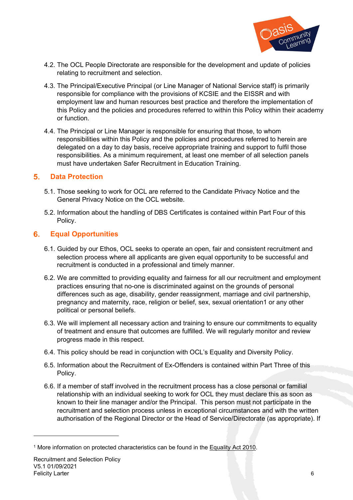

- 4.2. The OCL People Directorate are responsible for the development and update of policies relating to recruitment and selection.
- 4.3. The Principal/Executive Principal (or Line Manager of National Service staff) is primarily responsible for compliance with the provisions of KCSIE and the EISSR and with employment law and human resources best practice and therefore the implementation of this Policy and the policies and procedures referred to within this Policy within their academy or function.
- 4.4. The Principal or Line Manager is responsible for ensuring that those, to whom responsibilities within this Policy and the policies and procedures referred to herein are delegated on a day to day basis, receive appropriate training and support to fulfil those responsibilities. As a minimum requirement, at least one member of all selection panels must have undertaken Safer Recruitment in Education Training.

#### Data Protection

- 5.1. Those seeking to work for OCL are referred to the Candidate Privacy Notice and the General Privacy Notice on the OCL website.
- 5.2. Information about the handling of DBS Certificates is contained within Part Four of this Policy.

#### Equal Opportunities

- 6.1. Guided by our Ethos, OCL seeks to operate an open, fair and consistent recruitment and selection process where all applicants are given equal opportunity to be successful and recruitment is conducted in a professional and timely manner.
- 6.2. We are committed to providing equality and fairness for all our recruitment and employment practices ensuring that no-one is discriminated against on the grounds of personal differences such as age, disability, gender reassignment, marriage and civil partnership, pregnancy and maternity, race, religion or belief, sex, sexual orientation1 or any other political or personal beliefs.
- 6.3. We will implement all necessary action and training to ensure our commitments to equality of treatment and ensure that outcomes are fulfilled. We will regularly monitor and review progress made in this respect.
- 6.4. This policy should be read in conjunction with OCL's Equality and Diversity Policy.
- 6.5. Information about the Recruitment of Ex-Offenders is contained within Part Three of this Policy.
- 6.6. If a member of staff involved in the recruitment process has a close personal or familial relationship with an individual seeking to work for OCL they must declare this as soon as known to their line manager and/or the Principal. This person must not participate in the recruitment and selection process unless in exceptional circumstances and with the written authorisation of the Regional Director or the Head of Service/Directorate (as appropriate). If

<sup>&</sup>lt;sup>1</sup> More information on protected characteristics can be found in the Equality Act 2010.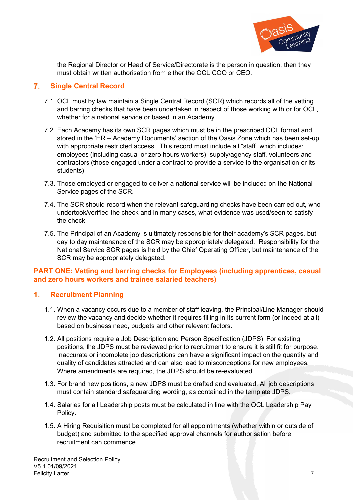

the Regional Director or Head of Service/Directorate is the person in question, then they must obtain written authorisation from either the OCL COO or CEO.

#### **7.** Single Central Record

- 7.1. OCL must by law maintain a Single Central Record (SCR) which records all of the vetting and barring checks that have been undertaken in respect of those working with or for OCL, whether for a national service or based in an Academy.
- 7.2. Each Academy has its own SCR pages which must be in the prescribed OCL format and stored in the 'HR – Academy Documents' section of the Oasis Zone which has been set-up with appropriate restricted access. This record must include all "staff" which includes: employees (including casual or zero hours workers), supply/agency staff, volunteers and contractors (those engaged under a contract to provide a service to the organisation or its students).
- 7.3. Those employed or engaged to deliver a national service will be included on the National Service pages of the SCR.
- 7.4. The SCR should record when the relevant safeguarding checks have been carried out, who undertook/verified the check and in many cases, what evidence was used/seen to satisfy the check.
- 7.5. The Principal of an Academy is ultimately responsible for their academy's SCR pages, but day to day maintenance of the SCR may be appropriately delegated. Responsibility for the National Service SCR pages is held by the Chief Operating Officer, but maintenance of the SCR may be appropriately delegated.

#### PART ONE: Vetting and barring checks for Employees (including apprentices, casual and zero hours workers and trainee salaried teachers)

#### 1. Recruitment Planning

- 1.1. When a vacancy occurs due to a member of staff leaving, the Principal/Line Manager should review the vacancy and decide whether it requires filling in its current form (or indeed at all) based on business need, budgets and other relevant factors.
- 1.2. All positions require a Job Description and Person Specification (JDPS). For existing positions, the JDPS must be reviewed prior to recruitment to ensure it is still fit for purpose. Inaccurate or incomplete job descriptions can have a significant impact on the quantity and quality of candidates attracted and can also lead to misconceptions for new employees. Where amendments are required, the JDPS should be re-evaluated.
- 1.3. For brand new positions, a new JDPS must be drafted and evaluated. All job descriptions must contain standard safeguarding wording, as contained in the template JDPS.
- 1.4. Salaries for all Leadership posts must be calculated in line with the OCL Leadership Pay Policy.
- 1.5. A Hiring Requisition must be completed for all appointments (whether within or outside of budget) and submitted to the specified approval channels for authorisation before recruitment can commence.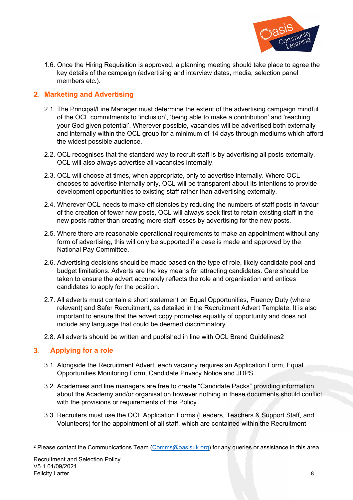

1.6. Once the Hiring Requisition is approved, a planning meeting should take place to agree the key details of the campaign (advertising and interview dates, media, selection panel members etc.).

# 2. Marketing and Advertising

- 2.1. The Principal/Line Manager must determine the extent of the advertising campaign mindful of the OCL commitments to 'inclusion', 'being able to make a contribution' and 'reaching your God given potential'. Wherever possible, vacancies will be advertised both externally and internally within the OCL group for a minimum of 14 days through mediums which afford the widest possible audience.
- 2.2. OCL recognises that the standard way to recruit staff is by advertising all posts externally. OCL will also always advertise all vacancies internally.
- 2.3. OCL will choose at times, when appropriate, only to advertise internally. Where OCL chooses to advertise internally only, OCL will be transparent about its intentions to provide development opportunities to existing staff rather than advertising externally.
- 2.4. Wherever OCL needs to make efficiencies by reducing the numbers of staff posts in favour of the creation of fewer new posts, OCL will always seek first to retain existing staff in the new posts rather than creating more staff losses by advertising for the new posts.
- 2.5. Where there are reasonable operational requirements to make an appointment without any form of advertising, this will only be supported if a case is made and approved by the National Pay Committee.
- 2.6. Advertising decisions should be made based on the type of role, likely candidate pool and budget limitations. Adverts are the key means for attracting candidates. Care should be taken to ensure the advert accurately reflects the role and organisation and entices candidates to apply for the position.
- 2.7. All adverts must contain a short statement on Equal Opportunities, Fluency Duty (where relevant) and Safer Recruitment, as detailed in the Recruitment Advert Template. It is also important to ensure that the advert copy promotes equality of opportunity and does not include any language that could be deemed discriminatory.
- 2.8. All adverts should be written and published in line with OCL Brand Guidelines2

# 3. Applying for a role

- 3.1. Alongside the Recruitment Advert, each vacancy requires an Application Form, Equal Opportunities Monitoring Form, Candidate Privacy Notice and JDPS.
- 3.2. Academies and line managers are free to create "Candidate Packs" providing information about the Academy and/or organisation however nothing in these documents should conflict with the provisions or requirements of this Policy.
- 3.3. Recruiters must use the OCL Application Forms (Leaders, Teachers & Support Staff, and Volunteers) for the appointment of all staff, which are contained within the Recruitment

<sup>&</sup>lt;sup>2</sup> Please contact the Communications Team (Comms@oasisuk.org) for any queries or assistance in this area.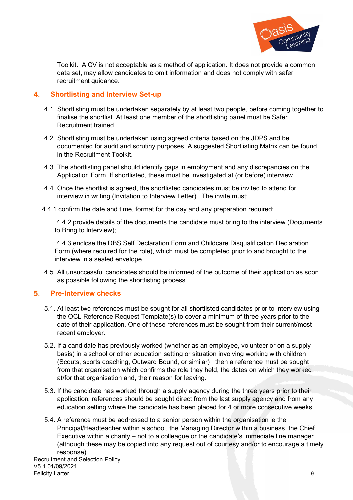

Toolkit. A CV is not acceptable as a method of application. It does not provide a common data set, may allow candidates to omit information and does not comply with safer recruitment guidance.

#### 4. Shortlisting and Interview Set-up

- 4.1. Shortlisting must be undertaken separately by at least two people, before coming together to finalise the shortlist. At least one member of the shortlisting panel must be Safer Recruitment trained.
- 4.2. Shortlisting must be undertaken using agreed criteria based on the JDPS and be documented for audit and scrutiny purposes. A suggested Shortlisting Matrix can be found in the Recruitment Toolkit.
- 4.3. The shortlisting panel should identify gaps in employment and any discrepancies on the Application Form. If shortlisted, these must be investigated at (or before) interview.
- 4.4. Once the shortlist is agreed, the shortlisted candidates must be invited to attend for interview in writing (Invitation to Interview Letter). The invite must:
- 4.4.1 confirm the date and time, format for the day and any preparation required;

 4.4.2 provide details of the documents the candidate must bring to the interview (Documents to Bring to Interview);

 4.4.3 enclose the DBS Self Declaration Form and Childcare Disqualification Declaration Form (where required for the role), which must be completed prior to and brought to the interview in a sealed envelope.

4.5. All unsuccessful candidates should be informed of the outcome of their application as soon as possible following the shortlisting process.

#### Pre-Interview checks

- 5.1. At least two references must be sought for all shortlisted candidates prior to interview using the OCL Reference Request Template(s) to cover a minimum of three years prior to the date of their application. One of these references must be sought from their current/most recent employer.
- 5.2. If a candidate has previously worked (whether as an employee, volunteer or on a supply basis) in a school or other education setting or situation involving working with children (Scouts, sports coaching, Outward Bound, or similar) then a reference must be sought from that organisation which confirms the role they held, the dates on which they worked at/for that organisation and, their reason for leaving.
- 5.3. If the candidate has worked through a supply agency during the three years prior to their application, references should be sought direct from the last supply agency and from any education setting where the candidate has been placed for 4 or more consecutive weeks.
- 5.4. A reference must be addressed to a senior person within the organisation ie the Principal/Headteacher within a school, the Managing Director within a business, the Chief Executive within a charity – not to a colleague or the candidate's immediate line manager (although these may be copied into any request out of courtesy and/or to encourage a timely response).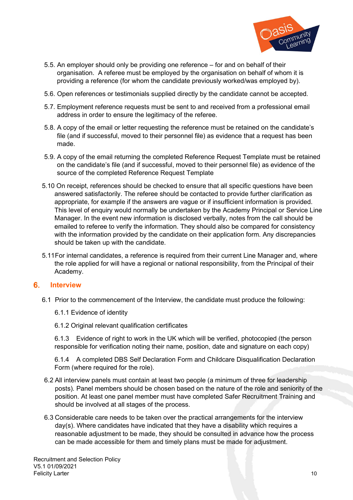

- 5.5. An employer should only be providing one reference for and on behalf of their organisation. A referee must be employed by the organisation on behalf of whom it is providing a reference (for whom the candidate previously worked/was employed by).
- 5.6. Open references or testimonials supplied directly by the candidate cannot be accepted.
- 5.7. Employment reference requests must be sent to and received from a professional email address in order to ensure the legitimacy of the referee.
- 5.8. A copy of the email or letter requesting the reference must be retained on the candidate's file (and if successful, moved to their personnel file) as evidence that a request has been made.
- 5.9. A copy of the email returning the completed Reference Request Template must be retained on the candidate's file (and if successful, moved to their personnel file) as evidence of the source of the completed Reference Request Template
- 5.10 On receipt, references should be checked to ensure that all specific questions have been answered satisfactorily. The referee should be contacted to provide further clarification as appropriate, for example if the answers are vague or if insufficient information is provided. This level of enquiry would normally be undertaken by the Academy Principal or Service Line Manager. In the event new information is disclosed verbally, notes from the call should be emailed to referee to verify the information. They should also be compared for consistency with the information provided by the candidate on their application form. Any discrepancies should be taken up with the candidate.
- 5.11 For internal candidates, a reference is required from their current Line Manager and, where the role applied for will have a regional or national responsibility, from the Principal of their Academy.

#### 6. Interview

- 6.1 Prior to the commencement of the Interview, the candidate must produce the following:
	- 6.1.1 Evidence of identity
	- 6.1.2 Original relevant qualification certificates

 6.1.3 Evidence of right to work in the UK which will be verified, photocopied (the person responsible for verification noting their name, position, date and signature on each copy)

 6.1.4 A completed DBS Self Declaration Form and Childcare Disqualification Declaration Form (where required for the role).

- 6.2 All interview panels must contain at least two people (a minimum of three for leadership posts). Panel members should be chosen based on the nature of the role and seniority of the position. At least one panel member must have completed Safer Recruitment Training and should be involved at all stages of the process.
- 6.3 Considerable care needs to be taken over the practical arrangements for the interview day(s). Where candidates have indicated that they have a disability which requires a reasonable adjustment to be made, they should be consulted in advance how the process can be made accessible for them and timely plans must be made for adjustment.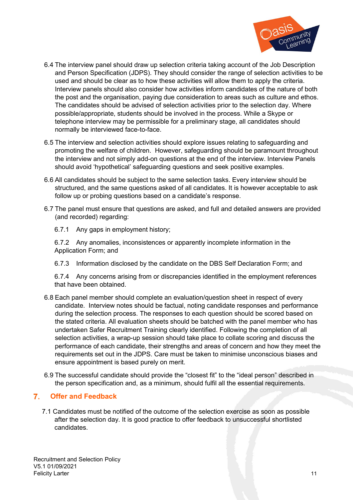

- 6.4 The interview panel should draw up selection criteria taking account of the Job Description and Person Specification (JDPS). They should consider the range of selection activities to be used and should be clear as to how these activities will allow them to apply the criteria. Interview panels should also consider how activities inform candidates of the nature of both the post and the organisation, paying due consideration to areas such as culture and ethos. The candidates should be advised of selection activities prior to the selection day. Where possible/appropriate, students should be involved in the process. While a Skype or telephone interview may be permissible for a preliminary stage, all candidates should normally be interviewed face-to-face.
- 6.5 The interview and selection activities should explore issues relating to safeguarding and promoting the welfare of children. However, safeguarding should be paramount throughout the interview and not simply add-on questions at the end of the interview. Interview Panels should avoid 'hypothetical' safeguarding questions and seek positive examples.
- 6.6 All candidates should be subject to the same selection tasks. Every interview should be structured, and the same questions asked of all candidates. It is however acceptable to ask follow up or probing questions based on a candidate's response.
- 6.7 The panel must ensure that questions are asked, and full and detailed answers are provided (and recorded) regarding:
	- 6.7.1 Any gaps in employment history;

6.7.2 Any anomalies, inconsistences or apparently incomplete information in the Application Form; and

6.7.3 Information disclosed by the candidate on the DBS Self Declaration Form; and

6.7.4 Any concerns arising from or discrepancies identified in the employment references that have been obtained.

- 6.8 Each panel member should complete an evaluation/question sheet in respect of every candidate. Interview notes should be factual, noting candidate responses and performance during the selection process. The responses to each question should be scored based on the stated criteria. All evaluation sheets should be batched with the panel member who has undertaken Safer Recruitment Training clearly identified. Following the completion of all selection activities, a wrap-up session should take place to collate scoring and discuss the performance of each candidate, their strengths and areas of concern and how they meet the requirements set out in the JDPS. Care must be taken to minimise unconscious biases and ensure appointment is based purely on merit.
- 6.9 The successful candidate should provide the "closest fit" to the "ideal person" described in the person specification and, as a minimum, should fulfil all the essential requirements.

#### Offer and Feedback

7.1 Candidates must be notified of the outcome of the selection exercise as soon as possible after the selection day. It is good practice to offer feedback to unsuccessful shortlisted candidates.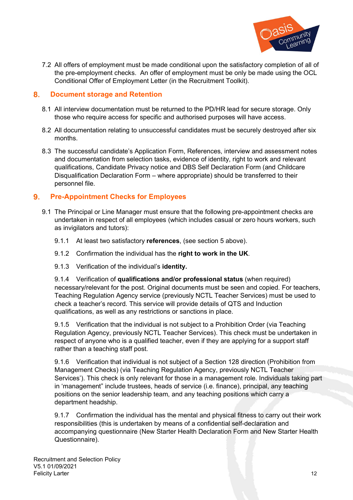

7.2 All offers of employment must be made conditional upon the satisfactory completion of all of the pre-employment checks. An offer of employment must be only be made using the OCL Conditional Offer of Employment Letter (in the Recruitment Toolkit).

#### 8. Document storage and Retention

- 8.1 All interview documentation must be returned to the PD/HR lead for secure storage. Only those who require access for specific and authorised purposes will have access.
- 8.2 All documentation relating to unsuccessful candidates must be securely destroyed after six months.
- 8.3 The successful candidate's Application Form, References, interview and assessment notes and documentation from selection tasks, evidence of identity, right to work and relevant qualifications, Candidate Privacy notice and DBS Self Declaration Form (and Childcare Disqualification Declaration Form – where appropriate) should be transferred to their personnel file.

# 9. Pre-Appointment Checks for Employees

- 9.1 The Principal or Line Manager must ensure that the following pre-appointment checks are undertaken in respect of all employees (which includes casual or zero hours workers, such as invigilators and tutors):
	- 9.1.1 At least two satisfactory references, (see section 5 above).
	- 9.1.2 Confirmation the individual has the right to work in the UK.
	- 9.1.3 Verification of the individual's identity.

9.1.4 Verification of qualifications and/or professional status (when required) necessary/relevant for the post. Original documents must be seen and copied. For teachers, Teaching Regulation Agency service (previously NCTL Teacher Services) must be used to check a teacher's record. This service will provide details of QTS and Induction qualifications, as well as any restrictions or sanctions in place.

9.1.5 Verification that the individual is not subject to a Prohibition Order (via Teaching Regulation Agency, previously NCTL Teacher Services). This check must be undertaken in respect of anyone who is a qualified teacher, even if they are applying for a support staff rather than a teaching staff post.

9.1.6 Verification that individual is not subject of a Section 128 direction (Prohibition from Management Checks) (via Teaching Regulation Agency, previously NCTL Teacher Services'). This check is only relevant for those in a management role. Individuals taking part in 'management" include trustees, heads of service (i.e. finance), principal, any teaching positions on the senior leadership team, and any teaching positions which carry a department headship.

9.1.7 Confirmation the individual has the mental and physical fitness to carry out their work responsibilities (this is undertaken by means of a confidential self-declaration and accompanying questionnaire (New Starter Health Declaration Form and New Starter Health Questionnaire).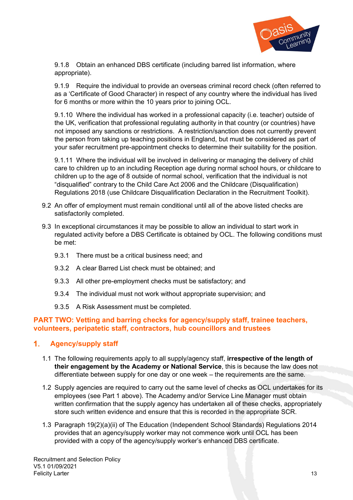

9.1.8 Obtain an enhanced DBS certificate (including barred list information, where appropriate).

9.1.9 Require the individual to provide an overseas criminal record check (often referred to as a 'Certificate of Good Character) in respect of any country where the individual has lived for 6 months or more within the 10 years prior to joining OCL.

9.1.10 Where the individual has worked in a professional capacity (i.e. teacher) outside of the UK, verification that professional regulating authority in that country (or countries) have not imposed any sanctions or restrictions. A restriction/sanction does not currently prevent the person from taking up teaching positions in England, but must be considered as part of your safer recruitment pre-appointment checks to determine their suitability for the position.

9.1.11 Where the individual will be involved in delivering or managing the delivery of child care to children up to an including Reception age during normal school hours, or childcare to children up to the age of 8 outside of normal school, verification that the individual is not "disqualified" contrary to the Child Care Act 2006 and the Childcare (Disqualification) Regulations 2018 (use Childcare Disqualification Declaration in the Recruitment Toolkit).

- 9.2 An offer of employment must remain conditional until all of the above listed checks are satisfactorily completed.
- 9.3 In exceptional circumstances it may be possible to allow an individual to start work in regulated activity before a DBS Certificate is obtained by OCL. The following conditions must be met:
	- 9.3.1 There must be a critical business need; and
	- 9.3.2 A clear Barred List check must be obtained; and
	- 9.3.3 All other pre-employment checks must be satisfactory; and
	- 9.3.4 The individual must not work without appropriate supervision; and
	- 9.3.5 A Risk Assessment must be completed.

#### PART TWO: Vetting and barring checks for agency/supply staff, trainee teachers, volunteers, peripatetic staff, contractors, hub councillors and trustees

# 1. Agency/supply staff

- 1.1 The following requirements apply to all supply/agency staff, irrespective of the length of their engagement by the Academy or National Service, this is because the law does not differentiate between supply for one day or one week – the requirements are the same.
- 1.2 Supply agencies are required to carry out the same level of checks as OCL undertakes for its employees (see Part 1 above). The Academy and/or Service Line Manager must obtain written confirmation that the supply agency has undertaken all of these checks, appropriately store such written evidence and ensure that this is recorded in the appropriate SCR.
- 1.3 Paragraph 19(2)(a)(ii) of The Education (Independent School Standards) Regulations 2014 provides that an agency/supply worker may not commence work until OCL has been provided with a copy of the agency/supply worker's enhanced DBS certificate.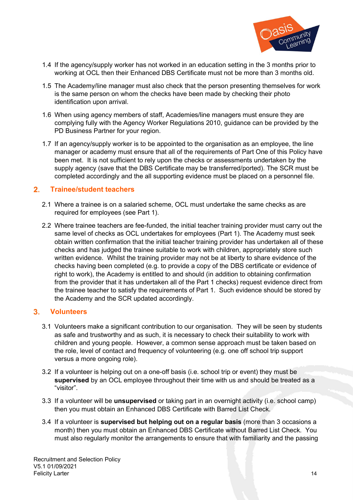

- 1.4 If the agency/supply worker has not worked in an education setting in the 3 months prior to working at OCL then their Enhanced DBS Certificate must not be more than 3 months old.
- 1.5 The Academy/line manager must also check that the person presenting themselves for work is the same person on whom the checks have been made by checking their photo identification upon arrival.
- 1.6 When using agency members of staff, Academies/line managers must ensure they are complying fully with the Agency Worker Regulations 2010, guidance can be provided by the PD Business Partner for your region.
- 1.7 If an agency/supply worker is to be appointed to the organisation as an employee, the line manager or academy must ensure that all of the requirements of Part One of this Policy have been met. It is not sufficient to rely upon the checks or assessments undertaken by the supply agency (save that the DBS Certificate may be transferred/ported). The SCR must be completed accordingly and the all supporting evidence must be placed on a personnel file.

#### 2. Trainee/student teachers

- 2.1 Where a trainee is on a salaried scheme, OCL must undertake the same checks as are required for employees (see Part 1).
- 2.2 Where trainee teachers are fee-funded, the initial teacher training provider must carry out the same level of checks as OCL undertakes for employees (Part 1). The Academy must seek obtain written confirmation that the initial teacher training provider has undertaken all of these checks and has judged the trainee suitable to work with children, appropriately store such written evidence. Whilst the training provider may not be at liberty to share evidence of the checks having been completed (e.g. to provide a copy of the DBS certificate or evidence of right to work), the Academy is entitled to and should (in addition to obtaining confirmation from the provider that it has undertaken all of the Part 1 checks) request evidence direct from the trainee teacher to satisfy the requirements of Part 1. Such evidence should be stored by the Academy and the SCR updated accordingly.

#### Volunteers

- 3.1 Volunteers make a significant contribution to our organisation. They will be seen by students as safe and trustworthy and as such, it is necessary to check their suitability to work with children and young people. However, a common sense approach must be taken based on the role, level of contact and frequency of volunteering (e.g. one off school trip support versus a more ongoing role).
- 3.2 If a volunteer is helping out on a one-off basis (i.e. school trip or event) they must be supervised by an OCL employee throughout their time with us and should be treated as a "visitor".
- 3.3 If a volunteer will be **unsupervised** or taking part in an overnight activity (i.e. school camp) then you must obtain an Enhanced DBS Certificate with Barred List Check.
- 3.4 If a volunteer is supervised but helping out on a regular basis (more than 3 occasions a month) then you must obtain an Enhanced DBS Certificate without Barred List Check. You must also regularly monitor the arrangements to ensure that with familiarity and the passing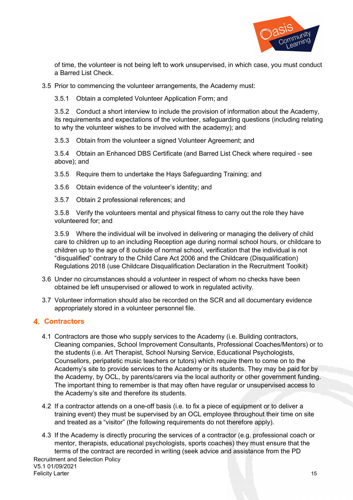

of time, the volunteer is not being left to work unsupervised, in which case, you must conduct a Barred List Check.

3.5 Prior to commencing the volunteer arrangements, the Academy must:

3.5.1 Obtain a completed Volunteer Application Form; and

3.5.2 Conduct a short interview to include the provision of information about the Academy, its requirements and expectations of the volunteer, safeguarding questions (including relating to why the volunteer wishes to be involved with the academy); and

3.5.3 Obtain from the volunteer a signed Volunteer Agreement; and

3.5.4 Obtain an Enhanced DBS Certificate (and Barred List Check where required - see above); and

3.5.5 Require them to undertake the Hays Safeguarding Training; and

3.5.6 Obtain evidence of the volunteer's identity; and

3.5.7 Obtain 2 professional references; and

3.5.8 Verify the volunteers mental and physical fitness to carry out the role they have volunteered for; and

3.5.9 Where the individual will be involved in delivering or managing the delivery of child care to children up to an including Reception age during normal school hours, or childcare to children up to the age of 8 outside of normal school, verification that the individual is not "disqualified" contrary to the Child Care Act 2006 and the Childcare (Disqualification) Regulations 2018 (use Childcare Disqualification Declaration in the Recruitment Toolkit)

- 3.6 Under no circumstances should a volunteer in respect of whom no checks have been obtained be left unsupervised or allowed to work in regulated activity.
- 3.7 Volunteer information should also be recorded on the SCR and all documentary evidence appropriately stored in a volunteer personnel file.

# **4. Contractors**

- 4.1 Contractors are those who supply services to the Academy (i.e. Building contractors, Cleaning companies, School Improvement Consultants, Professional Coaches/Mentors) or to the students (i.e. Art Therapist, School Nursing Service, Educational Psychologists, Counsellors, peripatetic music teachers or tutors) which require them to come on to the Academy's site to provide services to the Academy or its students. They may be paid for by the Academy, by OCL, by parents/carers via the local authority or other government funding. The important thing to remember is that may often have regular or unsupervised access to the Academy's site and therefore its students.
- 4.2 If a contractor attends on a one-off basis (i.e. to fix a piece of equipment or to deliver a training event) they must be supervised by an OCL employee throughout their time on site and treated as a "visitor" (the following requirements do not therefore apply).
- Recruitment and Selection Policy 4.3 If the Academy is directly procuring the services of a contractor (e.g. professional coach or mentor, therapists, educational psychologists, sports coaches) they must ensure that the terms of the contract are recorded in writing (seek advice and assistance from the PD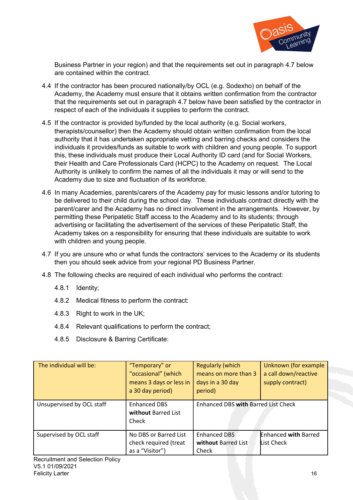

Business Partner in your region) and that the requirements set out in paragraph 4.7 below are contained within the contract.

- 4.4 If the contractor has been procured nationally/by OCL (e.g. Sodexho) on behalf of the Academy, the Academy must ensure that it obtains written confirmation from the contractor that the requirements set out in paragraph 4.7 below have been satisfied by the contractor in respect of each of the individuals it supplies to perform the contract.
- 4.5 If the contractor is provided by/funded by the local authority (e.g. Social workers, therapists/counsellor) then the Academy should obtain written confirmation from the local authority that it has undertaken appropriate vetting and barring checks and considers the individuals it provides/funds as suitable to work with children and young people. To support this, these individuals must produce their Local Authority ID card (and for Social Workers, their Health and Care Professionals Card (HCPC) to the Academy on request. The Local Authority is unlikely to confirm the names of all the individuals it may or will send to the Academy due to size and fluctuation of its workforce.
- 4.6 In many Academies, parents/carers of the Academy pay for music lessons and/or tutoring to be delivered to their child during the school day. These individuals contract directly with the parent/carer and the Academy has no direct involvement in the arrangements. However, by permitting these Peripatetic Staff access to the Academy and to its students; through advertising or facilitating the advertisement of the services of these Peripatetic Staff, the Academy takes on a responsibility for ensuring that these individuals are suitable to work with children and young people.
- 4.7 If you are unsure who or what funds the contractors' services to the Academy or its students then you should seek advice from your regional PD Business Partner.
- 4.8 The following checks are required of each individual who performs the contract:
	- 4.8.1 Identity;
	- 4.8.2 Medical fitness to perform the contract:
	- 4.8.3 Right to work in the UK;
	- 4.8.4 Relevant qualifications to perform the contract;
	- 4.8.5 Disclosure & Barring Certificate:

| The individual will be:   | "Temporary" or<br>"occasional" (which<br>means 3 days or less in<br>a 30 day period) | <b>Regularly (which</b><br>means on more than 3<br>days in a 30 day<br>period) | Unknown (for example<br>a call down/reactive<br>supply contract) |
|---------------------------|--------------------------------------------------------------------------------------|--------------------------------------------------------------------------------|------------------------------------------------------------------|
| Unsupervised by OCL staff | <b>Enhanced DBS</b><br>without Barred List<br>Check                                  | Enhanced DBS with Barred List Check                                            |                                                                  |
| Supervised by OCL staff   | No DBS or Barred List<br>check required (treat<br>as a "Visitor")                    | <b>Enhanced DBS</b><br>without Barred List<br>Check                            | <b>Enhanced with Barred</b><br>List Check                        |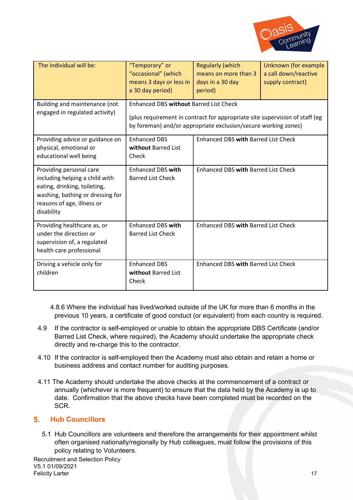

| The individual will be:                                                                                                                                                   | "Temporary" or<br>"occasional" (which<br>means 3 days or less in<br>a 30 day period)                                                                                                            | <b>Regularly (which</b><br>means on more than 3<br>days in a 30 day<br>period) | Unknown (for example<br>a call down/reactive<br>supply contract) |  |
|---------------------------------------------------------------------------------------------------------------------------------------------------------------------------|-------------------------------------------------------------------------------------------------------------------------------------------------------------------------------------------------|--------------------------------------------------------------------------------|------------------------------------------------------------------|--|
| Building and maintenance (not<br>engaged in regulated activity)                                                                                                           | <b>Enhanced DBS without Barred List Check</b><br>(plus requirement in contract for appropriate site supervision of staff (eg)<br>by foreman) and/or appropriate exclusion/secure working zones) |                                                                                |                                                                  |  |
| Providing advice or guidance on<br>physical, emotional or<br>educational well being                                                                                       | <b>Enhanced DBS</b><br>without Barred List<br>Check                                                                                                                                             | Enhanced DBS with Barred List Check                                            |                                                                  |  |
| Providing personal care<br>including helping a child with<br>eating, drinking, toileting,<br>washing, bathing or dressing for<br>reasons of age, illness or<br>disability | <b>Enhanced DBS with</b><br><b>Barred List Check</b>                                                                                                                                            | <b>Enhanced DBS with Barred List Check</b>                                     |                                                                  |  |
| Providing healthcare as, or<br>under the direction or<br>supervision of, a regulated<br>health care professional                                                          | <b>Enhanced DBS with</b><br><b>Barred List Check</b>                                                                                                                                            | <b>Enhanced DBS with Barred List Check</b>                                     |                                                                  |  |
| Driving a vehicle only for<br>children                                                                                                                                    | <b>Enhanced DBS</b><br>without Barred List<br>Check                                                                                                                                             | Enhanced DBS with Barred List Check                                            |                                                                  |  |

4.8.6 Where the individual has lived/worked outside of the UK for more than 6 months in the previous 10 years, a certificate of good conduct (or equivalent) from each country is required.

- 4.9 If the contractor is self-employed or unable to obtain the appropriate DBS Certificate (and/or Barred List Check, where required), the Academy should undertake the appropriate check directly and re-charge this to the contractor.
- 4.10 If the contractor is self-employed then the Academy must also obtain and retain a home or business address and contact number for auditing purposes.
- 4.11 The Academy should undertake the above checks at the commencement of a contract or annually (whichever is more frequent) to ensure that the data held by the Academy is up to date. Confirmation that the above checks have been completed must be recorded on the SCR.

#### 5. Hub Councillors

5.1 Hub Councillors are volunteers and therefore the arrangements for their appointment whilst often organised nationally/regionally by Hub colleagues, must follow the provisions of this policy relating to Volunteers.

Recruitment and Selection Policy V5.1 01/09/2021 **Felicity Larter 17** and 17 and 17 and 17 and 17 and 17 and 17 and 17 and 17 and 17 and 17 and 17 and 17 and 17 and 17 and 17 and 17 and 17 and 17 and 17 and 17 and 17 and 17 and 17 and 17 and 17 and 17 and 17 and 17 and 1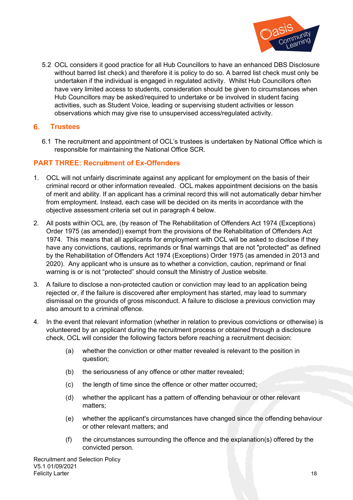

5.2 OCL considers it good practice for all Hub Councillors to have an enhanced DBS Disclosure without barred list check) and therefore it is policy to do so. A barred list check must only be undertaken if the individual is engaged in regulated activity. Whilst Hub Councillors often have very limited access to students, consideration should be given to circumstances when Hub Councillors may be asked/required to undertake or be involved in student facing activities, such as Student Voice, leading or supervising student activities or lesson observations which may give rise to unsupervised access/regulated activity.

#### 6. Trustees

6.1 The recruitment and appointment of OCL's trustees is undertaken by National Office which is responsible for maintaining the National Office SCR.

# PART THREE: Recruitment of Ex-Offenders

- 1. OCL will not unfairly discriminate against any applicant for employment on the basis of their criminal record or other information revealed. OCL makes appointment decisions on the basis of merit and ability. If an applicant has a criminal record this will not automatically debar him/her from employment. Instead, each case will be decided on its merits in accordance with the objective assessment criteria set out in paragraph 4 below.
- 2. All posts within OCL are, (by reason of The Rehabilitation of Offenders Act 1974 (Exceptions) Order 1975 (as amended)) exempt from the provisions of the Rehabilitation of Offenders Act 1974. This means that all applicants for employment with OCL will be asked to disclose if they have any convictions, cautions, reprimands or final warnings that are not "protected" as defined by the Rehabilitation of Offenders Act 1974 (Exceptions) Order 1975 (as amended in 2013 and 2020). Any applicant who is unsure as to whether a conviction, caution, reprimand or final warning is or is not "protected" should consult the Ministry of Justice website.
- 3. A failure to disclose a non-protected caution or conviction may lead to an application being rejected or, if the failure is discovered after employment has started, may lead to summary dismissal on the grounds of gross misconduct. A failure to disclose a previous conviction may also amount to a criminal offence.
- 4. In the event that relevant information (whether in relation to previous convictions or otherwise) is volunteered by an applicant during the recruitment process or obtained through a disclosure check, OCL will consider the following factors before reaching a recruitment decision:
	- (a) whether the conviction or other matter revealed is relevant to the position in question;
	- (b) the seriousness of any offence or other matter revealed;
	- (c) the length of time since the offence or other matter occurred;
	- (d) whether the applicant has a pattern of offending behaviour or other relevant matters;
	- (e) whether the applicant's circumstances have changed since the offending behaviour or other relevant matters; and
	- (f) the circumstances surrounding the offence and the explanation(s) offered by the convicted person.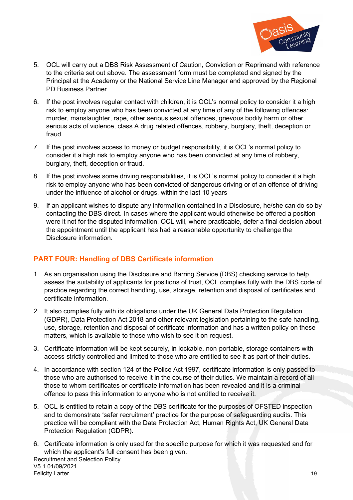

- 5. OCL will carry out a DBS Risk Assessment of Caution, Conviction or Reprimand with reference to the criteria set out above. The assessment form must be completed and signed by the Principal at the Academy or the National Service Line Manager and approved by the Regional PD Business Partner.
- 6. If the post involves regular contact with children, it is OCL's normal policy to consider it a high risk to employ anyone who has been convicted at any time of any of the following offences: murder, manslaughter, rape, other serious sexual offences, grievous bodily harm or other serious acts of violence, class A drug related offences, robbery, burglary, theft, deception or fraud.
- 7. If the post involves access to money or budget responsibility, it is OCL's normal policy to consider it a high risk to employ anyone who has been convicted at any time of robbery, burglary, theft, deception or fraud.
- 8. If the post involves some driving responsibilities, it is OCL's normal policy to consider it a high risk to employ anyone who has been convicted of dangerous driving or of an offence of driving under the influence of alcohol or drugs, within the last 10 years
- 9. If an applicant wishes to dispute any information contained in a Disclosure, he/she can do so by contacting the DBS direct. In cases where the applicant would otherwise be offered a position were it not for the disputed information, OCL will, where practicable, defer a final decision about the appointment until the applicant has had a reasonable opportunity to challenge the Disclosure information.

# PART FOUR: Handling of DBS Certificate information

- 1. As an organisation using the Disclosure and Barring Service (DBS) checking service to help assess the suitability of applicants for positions of trust, OCL complies fully with the DBS code of practice regarding the correct handling, use, storage, retention and disposal of certificates and certificate information.
- 2. It also complies fully with its obligations under the UK General Data Protection Regulation (GDPR), Data Protection Act 2018 and other relevant legislation pertaining to the safe handling, use, storage, retention and disposal of certificate information and has a written policy on these matters, which is available to those who wish to see it on request.
- 3. Certificate information will be kept securely, in lockable, non-portable, storage containers with access strictly controlled and limited to those who are entitled to see it as part of their duties.
- 4. In accordance with section 124 of the Police Act 1997, certificate information is only passed to those who are authorised to receive it in the course of their duties. We maintain a record of all those to whom certificates or certificate information has been revealed and it is a criminal offence to pass this information to anyone who is not entitled to receive it.
- 5. OCL is entitled to retain a copy of the DBS certificate for the purposes of OFSTED inspection and to demonstrate 'safer recruitment' practice for the purpose of safeguarding audits. This practice will be compliant with the Data Protection Act, Human Rights Act, UK General Data Protection Regulation (GDPR).
- 6. Certificate information is only used for the specific purpose for which it was requested and for which the applicant's full consent has been given.